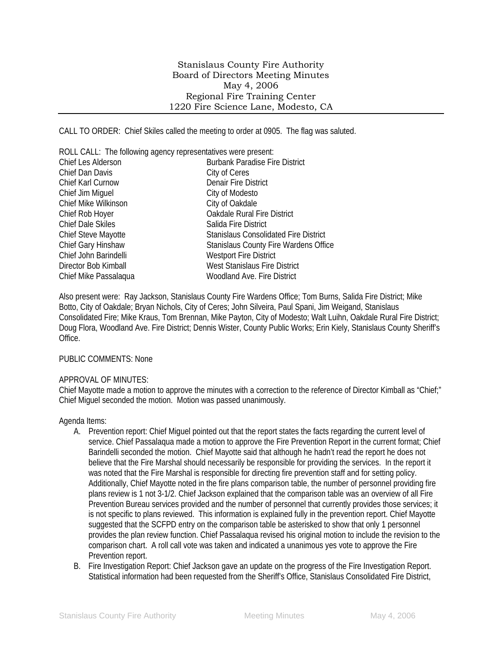CALL TO ORDER: Chief Skiles called the meeting to order at 0905. The flag was saluted.

| ROLL CALL: The following agency representatives were present: |  |
|---------------------------------------------------------------|--|
| <b>Burbank Paradise Fire District</b>                         |  |
| City of Ceres                                                 |  |
| Denair Fire District                                          |  |
| City of Modesto                                               |  |
| City of Oakdale                                               |  |
| <b>Oakdale Rural Fire District</b>                            |  |
| Salida Fire District                                          |  |
| <b>Stanislaus Consolidated Fire District</b>                  |  |
| Stanislaus County Fire Wardens Office                         |  |
| <b>Westport Fire District</b>                                 |  |
| West Stanislaus Fire District                                 |  |
| Woodland Ave. Fire District                                   |  |
|                                                               |  |

Also present were: Ray Jackson, Stanislaus County Fire Wardens Office; Tom Burns, Salida Fire District; Mike Botto, City of Oakdale; Bryan Nichols, City of Ceres; John Silveira, Paul Spani, Jim Weigand, Stanislaus Consolidated Fire; Mike Kraus, Tom Brennan, Mike Payton, City of Modesto; Walt Luihn, Oakdale Rural Fire District; Doug Flora, Woodland Ave. Fire District; Dennis Wister, County Public Works; Erin Kiely, Stanislaus County Sheriff's Office.

## PUBLIC COMMENTS: None

## APPROVAL OF MINUTES:

Chief Mayotte made a motion to approve the minutes with a correction to the reference of Director Kimball as "Chief;" Chief Miguel seconded the motion. Motion was passed unanimously.

## Agenda Items:

- A. Prevention report: Chief Miguel pointed out that the report states the facts regarding the current level of service. Chief Passalaqua made a motion to approve the Fire Prevention Report in the current format; Chief Barindelli seconded the motion. Chief Mayotte said that although he hadn't read the report he does not believe that the Fire Marshal should necessarily be responsible for providing the services. In the report it was noted that the Fire Marshal is responsible for directing fire prevention staff and for setting policy. Additionally, Chief Mayotte noted in the fire plans comparison table, the number of personnel providing fire plans review is 1 not 3-1/2. Chief Jackson explained that the comparison table was an overview of all Fire Prevention Bureau services provided and the number of personnel that currently provides those services; it is not specific to plans reviewed. This information is explained fully in the prevention report. Chief Mayotte suggested that the SCFPD entry on the comparison table be asterisked to show that only 1 personnel provides the plan review function. Chief Passalaqua revised his original motion to include the revision to the comparison chart. A roll call vote was taken and indicated a unanimous yes vote to approve the Fire Prevention report.
- B. Fire Investigation Report: Chief Jackson gave an update on the progress of the Fire Investigation Report. Statistical information had been requested from the Sheriff's Office, Stanislaus Consolidated Fire District,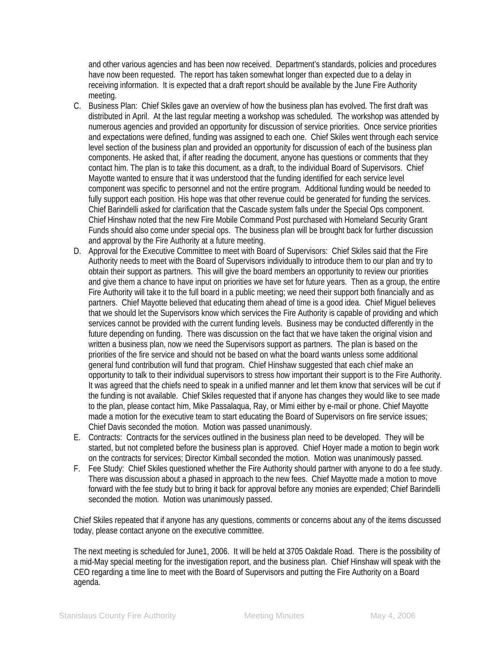and other various agencies and has been now received. Department's standards, policies and procedures have now been requested. The report has taken somewhat longer than expected due to a delay in receiving information. It is expected that a draft report should be available by the June Fire Authority meeting.

- C. Business Plan: Chief Skiles gave an overview of how the business plan has evolved. The first draft was distributed in April. At the last regular meeting a workshop was scheduled. The workshop was attended by numerous agencies and provided an opportunity for discussion of service priorities. Once service priorities and expectations were defined, funding was assigned to each one. Chief Skiles went through each service level section of the business plan and provided an opportunity for discussion of each of the business plan components. He asked that, if after reading the document, anyone has questions or comments that they contact him. The plan is to take this document, as a draft, to the individual Board of Supervisors. Chief Mayotte wanted to ensure that it was understood that the funding identified for each service level component was specific to personnel and not the entire program. Additional funding would be needed to fully support each position. His hope was that other revenue could be generated for funding the services. Chief Barindelli asked for clarification that the Cascade system falls under the Special Ops component. Chief Hinshaw noted that the new Fire Mobile Command Post purchased with Homeland Security Grant Funds should also come under special ops. The business plan will be brought back for further discussion and approval by the Fire Authority at a future meeting.
- D. Approval for the Executive Committee to meet with Board of Supervisors: Chief Skiles said that the Fire Authority needs to meet with the Board of Supervisors individually to introduce them to our plan and try to obtain their support as partners. This will give the board members an opportunity to review our priorities and give them a chance to have input on priorities we have set for future years. Then as a group, the entire Fire Authority will take it to the full board in a public meeting; we need their support both financially and as partners. Chief Mayotte believed that educating them ahead of time is a good idea. Chief Miguel believes that we should let the Supervisors know which services the Fire Authority is capable of providing and which services cannot be provided with the current funding levels. Business may be conducted differently in the future depending on funding. There was discussion on the fact that we have taken the original vision and written a business plan, now we need the Supervisors support as partners. The plan is based on the priorities of the fire service and should not be based on what the board wants unless some additional general fund contribution will fund that program. Chief Hinshaw suggested that each chief make an opportunity to talk to their individual supervisors to stress how important their support is to the Fire Authority. It was agreed that the chiefs need to speak in a unified manner and let them know that services will be cut if the funding is not available. Chief Skiles requested that if anyone has changes they would like to see made to the plan, please contact him, Mike Passalaqua, Ray, or Mimi either by e-mail or phone. Chief Mayotte made a motion for the executive team to start educating the Board of Supervisors on fire service issues; Chief Davis seconded the motion. Motion was passed unanimously.
- E. Contracts: Contracts for the services outlined in the business plan need to be developed. They will be started, but not completed before the business plan is approved. Chief Hoyer made a motion to begin work on the contracts for services; Director Kimball seconded the motion. Motion was unanimously passed.
- F. Fee Study: Chief Skiles questioned whether the Fire Authority should partner with anyone to do a fee study. There was discussion about a phased in approach to the new fees. Chief Mayotte made a motion to move forward with the fee study but to bring it back for approval before any monies are expended; Chief Barindelli seconded the motion. Motion was unanimously passed.

Chief Skiles repeated that if anyone has any questions, comments or concerns about any of the items discussed today, please contact anyone on the executive committee.

The next meeting is scheduled for June1, 2006. It will be held at 3705 Oakdale Road. There is the possibility of a mid-May special meeting for the investigation report, and the business plan. Chief Hinshaw will speak with the CEO regarding a time line to meet with the Board of Supervisors and putting the Fire Authority on a Board agenda.